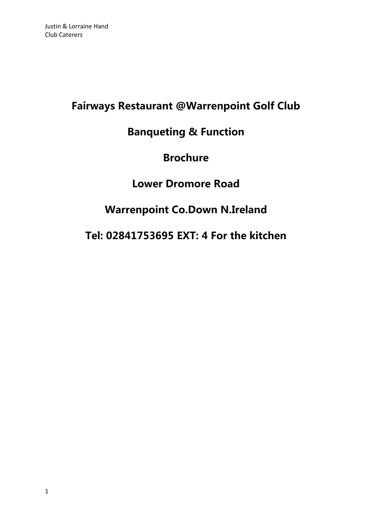# **Fairways Restaurant @Warrenpoint Golf Club**

# **Banqueting & Function**

# **Brochure**

# **Lower Dromore Road**

# **Warrenpoint Co.Down N.Ireland**

# **Tel: 02841753695 EXT: 4 For the kitchen**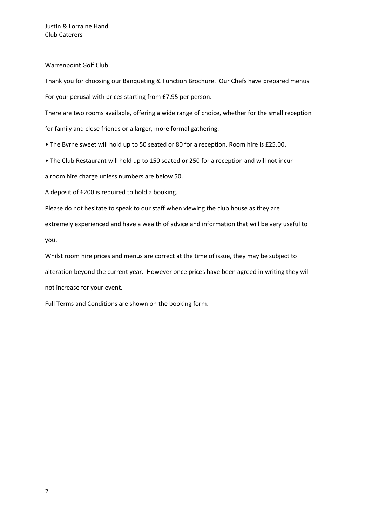Warrenpoint Golf Club

Thank you for choosing our Banqueting & Function Brochure. Our Chefs have prepared menus For your perusal with prices starting from £7.95 per person.

There are two rooms available, offering a wide range of choice, whether for the small reception for family and close friends or a larger, more formal gathering.

• The Byrne sweet will hold up to 50 seated or 80 for a reception. Room hire is £25.00.

• The Club Restaurant will hold up to 150 seated or 250 for a reception and will not incur

a room hire charge unless numbers are below 50.

A deposit of £200 is required to hold a booking.

Please do not hesitate to speak to our staff when viewing the club house as they are extremely experienced and have a wealth of advice and information that will be very useful to you.

Whilst room hire prices and menus are correct at the time of issue, they may be subject to alteration beyond the current year. However once prices have been agreed in writing they will not increase for your event.

Full Terms and Conditions are shown on the booking form.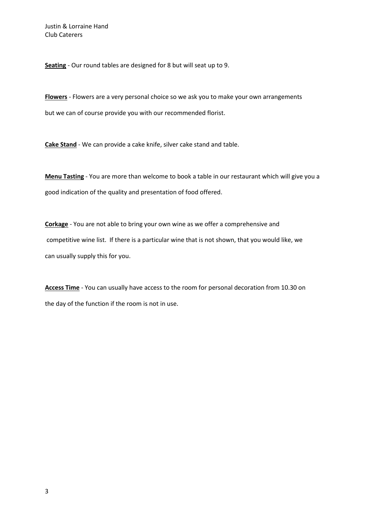**Seating** - Our round tables are designed for 8 but will seat up to 9.

**Flowers** - Flowers are a very personal choice so we ask you to make your own arrangements but we can of course provide you with our recommended florist.

**Cake Stand** - We can provide a cake knife, silver cake stand and table.

**Menu Tasting** - You are more than welcome to book a table in our restaurant which will give you a good indication of the quality and presentation of food offered.

**Corkage** - You are not able to bring your own wine as we offer a comprehensive and competitive wine list. If there is a particular wine that is not shown, that you would like, we can usually supply this for you.

**Access Time** - You can usually have access to the room for personal decoration from 10.30 on the day of the function if the room is not in use.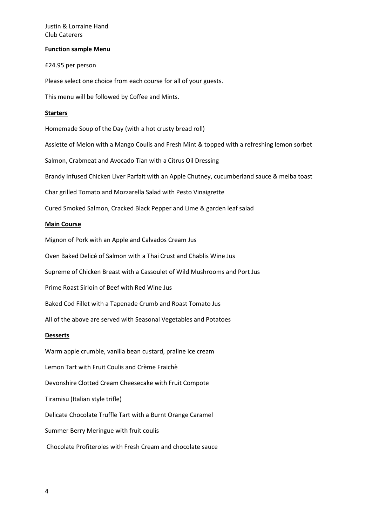#### **Function sample Menu**

£24.95 per person

Please select one choice from each course for all of your guests.

This menu will be followed by Coffee and Mints.

## **Starters**

Homemade Soup of the Day (with a hot crusty bread roll)

Assiette of Melon with a Mango Coulis and Fresh Mint & topped with a refreshing lemon sorbet

Salmon, Crabmeat and Avocado Tian with a Citrus Oil Dressing

Brandy Infused Chicken Liver Parfait with an Apple Chutney, cucumberland sauce & melba toast

Char grilled Tomato and Mozzarella Salad with Pesto Vinaigrette

Cured Smoked Salmon, Cracked Black Pepper and Lime & garden leaf salad

## **Main Course**

Mignon of Pork with an Apple and Calvados Cream Jus

Oven Baked Delicé of Salmon with a Thai Crust and Chablis Wine Jus

Supreme of Chicken Breast with a Cassoulet of Wild Mushrooms and Port Jus

Prime Roast Sirloin of Beef with Red Wine Jus

Baked Cod Fillet with a Tapenade Crumb and Roast Tomato Jus

All of the above are served with Seasonal Vegetables and Potatoes

## **Desserts**

Warm apple crumble, vanilla bean custard, praline ice cream Lemon Tart with Fruit Coulis and Crème Fraichè Devonshire Clotted Cream Cheesecake with Fruit Compote Tiramisu (Italian style trifle) Delicate Chocolate Truffle Tart with a Burnt Orange Caramel Summer Berry Meringue with fruit coulis Chocolate Profiteroles with Fresh Cream and chocolate sauce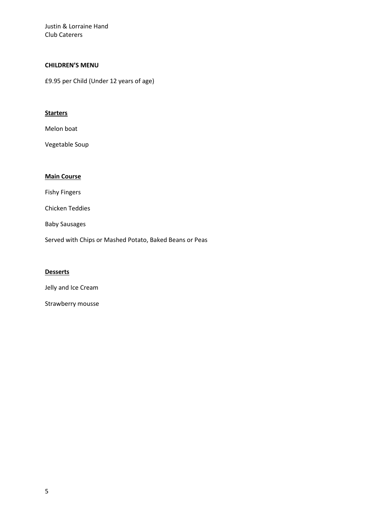# **CHILDREN'S MENU**

£9.95 per Child (Under 12 years of age)

## **Starters**

Melon boat

Vegetable Soup

# **Main Course**

Fishy Fingers

Chicken Teddies

Baby Sausages

Served with Chips or Mashed Potato, Baked Beans or Peas

# **Desserts**

Jelly and Ice Cream

Strawberry mousse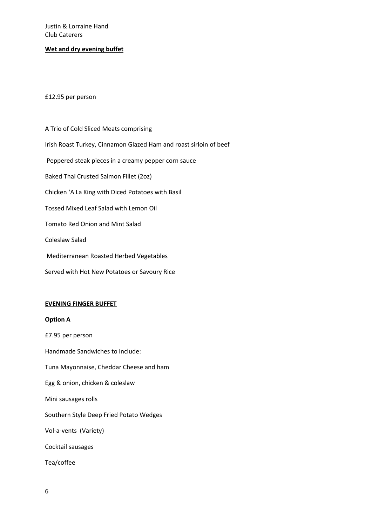## **Wet and dry evening buffet**

### £12.95 per person

A Trio of Cold Sliced Meats comprising Irish Roast Turkey, Cinnamon Glazed Ham and roast sirloin of beef Peppered steak pieces in a creamy pepper corn sauce Baked Thai Crusted Salmon Fillet (2oz) Chicken 'A La King with Diced Potatoes with Basil Tossed Mixed Leaf Salad with Lemon Oil Tomato Red Onion and Mint Salad Coleslaw Salad Mediterranean Roasted Herbed Vegetables Served with Hot New Potatoes or Savoury Rice

### **EVENING FINGER BUFFET**

### **Option A**

£7.95 per person Handmade Sandwiches to include: Tuna Mayonnaise, Cheddar Cheese and ham Egg & onion, chicken & coleslaw Mini sausages rolls Southern Style Deep Fried Potato Wedges Vol-a-vents (Variety) Cocktail sausages Tea/coffee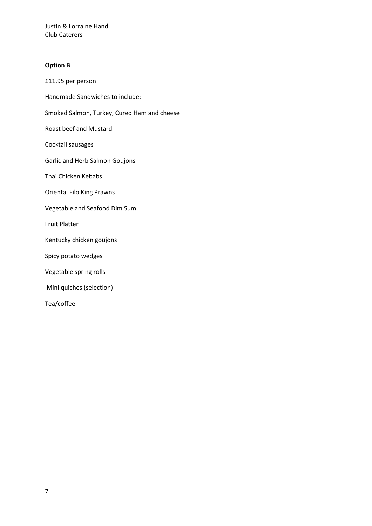## **Option B**

£11.95 per person Handmade Sandwiches to include: Smoked Salmon, Turkey, Cured Ham and cheese Roast beef and Mustard Cocktail sausages Garlic and Herb Salmon Goujons Thai Chicken Kebabs Oriental Filo King Prawns Vegetable and Seafood Dim Sum Fruit Platter Kentucky chicken goujons Spicy potato wedges Vegetable spring rolls Mini quiches (selection) Tea/coffee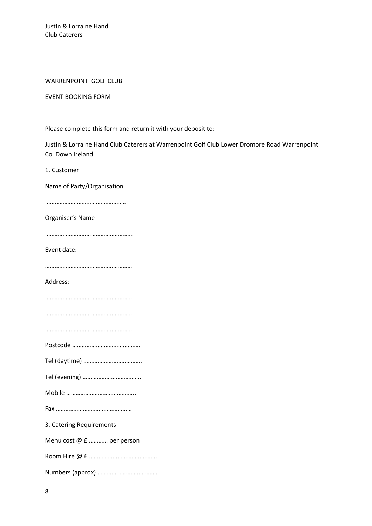## WARRENPOINT GOLF CLUB

### EVENT BOOKING FORM

Please complete this form and return it with your deposit to:-

Justin & Lorraine Hand Club Caterers at Warrenpoint Golf Club Lower Dromore Road Warrenpoint Co. Down Ireland

\_\_\_\_\_\_\_\_\_\_\_\_\_\_\_\_\_\_\_\_\_\_\_\_\_\_\_\_\_\_\_\_\_\_\_\_\_\_\_\_\_\_\_\_\_\_\_\_\_\_\_\_\_\_\_\_\_\_\_\_\_\_\_\_\_\_\_

1. Customer

Name of Party/Organisation

..…………………………………………

Organiser's Name

.………………………………………………

Event date:

…….…………………………………………

Address:

.………………………………………………

.………………………………………………

.………………………………………………

Postcode …………………………………….

Tel (daytime) ……………………………….

Tel (evening) ……………………………….

Mobile ……………………………………..

Fax …………………………………………

3. Catering Requirements

Menu cost @ £ ………… per person

Room Hire @ £ …………………………………….

Numbers (approx) ………………………………….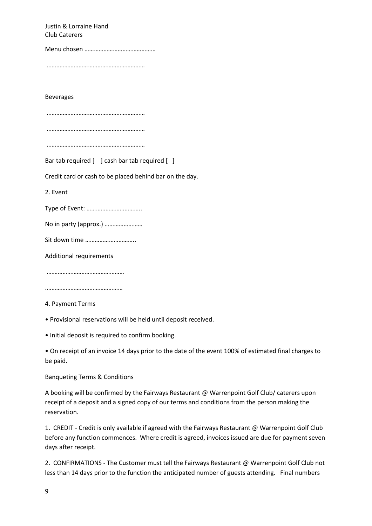Justin & Lorraine Hand Club Caterers Menu chosen ……………………………………… ..…………………………………………………… Beverages ..…………………………………………………… ..…………………………………………………… ..…………………………………………………… Bar tab required [ ] cash bar tab required [ ] Credit card or cash to be placed behind bar on the day. 2. Event Type of Event: …………………………….. No in party (approx.) …………………… Sit down time ………………………….. Additional requirements .………………………………………… .………………………………………… 4. Payment Terms

• Provisional reservations will be held until deposit received.

• Initial deposit is required to confirm booking.

• On receipt of an invoice 14 days prior to the date of the event 100% of estimated final charges to be paid.

Banqueting Terms & Conditions

A booking will be confirmed by the Fairways Restaurant @ Warrenpoint Golf Club/ caterers upon receipt of a deposit and a signed copy of our terms and conditions from the person making the reservation.

1. CREDIT - Credit is only available if agreed with the Fairways Restaurant @ Warrenpoint Golf Club before any function commences. Where credit is agreed, invoices issued are due for payment seven days after receipt.

2. CONFIRMATIONS - The Customer must tell the Fairways Restaurant @ Warrenpoint Golf Club not less than 14 days prior to the function the anticipated number of guests attending. Final numbers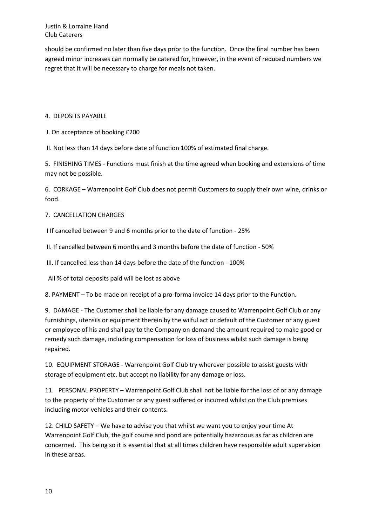should be confirmed no later than five days prior to the function. Once the final number has been agreed minor increases can normally be catered for, however, in the event of reduced numbers we regret that it will be necessary to charge for meals not taken.

## 4. DEPOSITS PAYABLE

I. On acceptance of booking £200

II. Not less than 14 days before date of function 100% of estimated final charge.

5. FINISHING TIMES - Functions must finish at the time agreed when booking and extensions of time may not be possible.

6. CORKAGE – Warrenpoint Golf Club does not permit Customers to supply their own wine, drinks or food.

## 7. CANCELLATION CHARGES

I If cancelled between 9 and 6 months prior to the date of function - 25%

II. If cancelled between 6 months and 3 months before the date of function - 50%

III. If cancelled less than 14 days before the date of the function - 100%

All % of total deposits paid will be lost as above

8. PAYMENT – To be made on receipt of a pro-forma invoice 14 days prior to the Function.

9. DAMAGE - The Customer shall be liable for any damage caused to Warrenpoint Golf Club or any furnishings, utensils or equipment therein by the wilful act or default of the Customer or any guest or employee of his and shall pay to the Company on demand the amount required to make good or remedy such damage, including compensation for loss of business whilst such damage is being repaired.

10. EQUIPMENT STORAGE - Warrenpoint Golf Club try wherever possible to assist guests with storage of equipment etc. but accept no liability for any damage or loss.

11. PERSONAL PROPERTY – Warrenpoint Golf Club shall not be liable for the loss of or any damage to the property of the Customer or any guest suffered or incurred whilst on the Club premises including motor vehicles and their contents.

12. CHILD SAFETY – We have to advise you that whilst we want you to enjoy your time At Warrenpoint Golf Club, the golf course and pond are potentially hazardous as far as children are concerned. This being so it is essential that at all times children have responsible adult supervision in these areas.